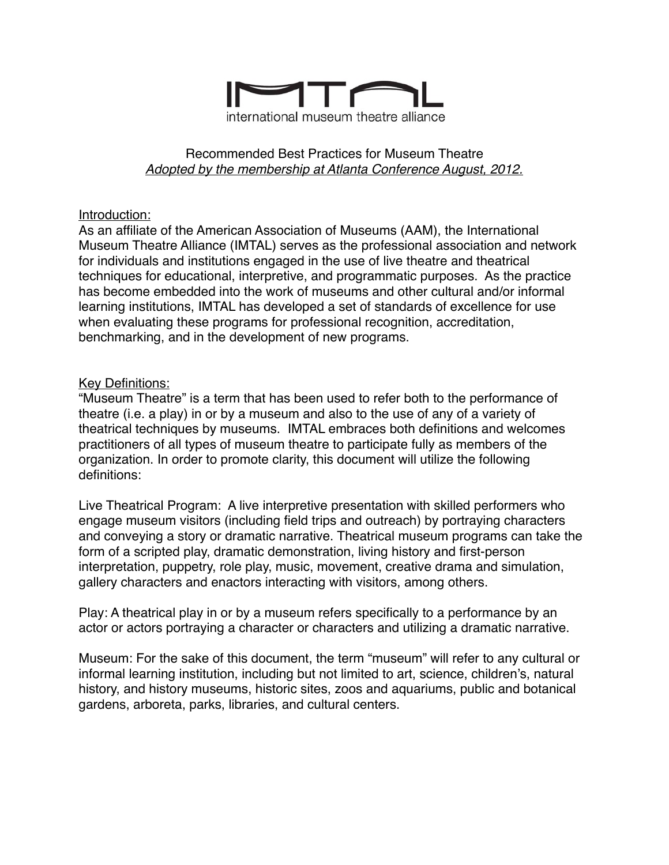

#### Recommended Best Practices for Museum Theatre *Adopted by the membership at Atlanta Conference August, 2012.*

#### Introduction:

As an affiliate of the American Association of Museums (AAM), the International Museum Theatre Alliance (IMTAL) serves as the professional association and network for individuals and institutions engaged in the use of live theatre and theatrical techniques for educational, interpretive, and programmatic purposes. As the practice has become embedded into the work of museums and other cultural and/or informal learning institutions, IMTAL has developed a set of standards of excellence for use when evaluating these programs for professional recognition, accreditation, benchmarking, and in the development of new programs.

## Key Definitions:

"Museum Theatre" is a term that has been used to refer both to the performance of theatre (i.e. a play) in or by a museum and also to the use of any of a variety of theatrical techniques by museums. IMTAL embraces both definitions and welcomes practitioners of all types of museum theatre to participate fully as members of the organization. In order to promote clarity, this document will utilize the following definitions:

Live Theatrical Program: A live interpretive presentation with skilled performers who engage museum visitors (including field trips and outreach) by portraying characters and conveying a story or dramatic narrative. Theatrical museum programs can take the form of a scripted play, dramatic demonstration, living history and first-person interpretation, puppetry, role play, music, movement, creative drama and simulation, gallery characters and enactors interacting with visitors, among others.

Play: A theatrical play in or by a museum refers specifically to a performance by an actor or actors portraying a character or characters and utilizing a dramatic narrative.

Museum: For the sake of this document, the term "museum" will refer to any cultural or informal learning institution, including but not limited to art, science, children's, natural history, and history museums, historic sites, zoos and aquariums, public and botanical gardens, arboreta, parks, libraries, and cultural centers.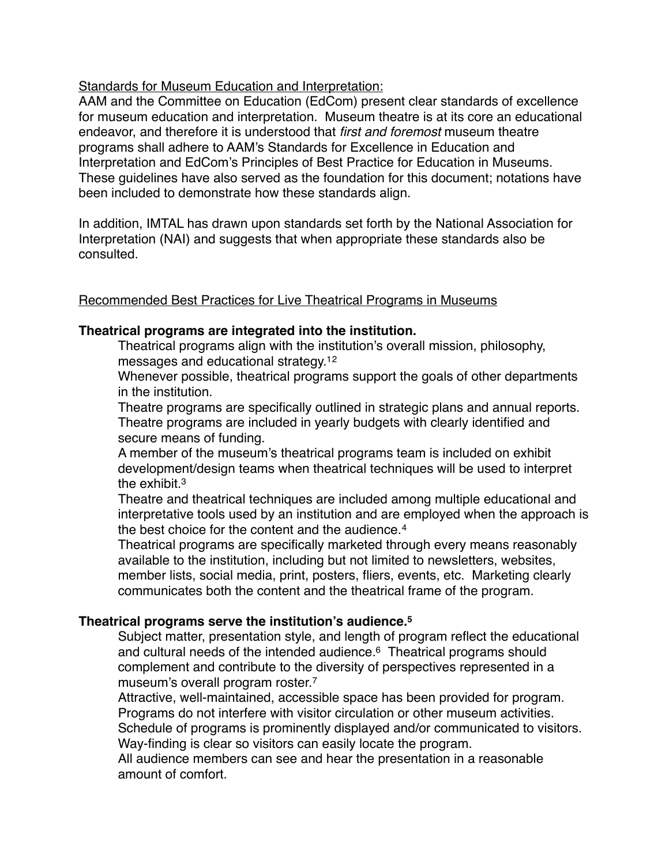Standards for Museum Education and Interpretation:

AAM and the Committee on Education (EdCom) present clear standards of excellence for museum education and interpretation. Museum theatre is at its core an educational endeavor, and therefore it is understood that *first and foremost* museum theatre programs shall adhere to AAM's Standards for Excellence in Education and Interpretation and EdCom's Principles of Best Practice for Education in Museums. These guidelines have also served as the foundation for this document; notations have been included to demonstrate how these standards align.

In addition, IMTAL has drawn upon standards set forth by the National Association for Interpretation (NAI) and suggests that when appropriate these standards also be consulted.

#### Recommended Best Practices for Live Theatrical Programs in Museums

## **Theatrical programs are integrated into the institution.**

• Theatrical programs align with the institution's overall mission, philosophy, messages and educational strategy.12

Whenever possible, theatrical programs support the goals of other departments in the institution.

• Theatre programs are specifically outlined in strategic plans and annual reports. • Theatre programs are included in yearly budgets with clearly identified and secure means of funding.

• A member of the museum's theatrical programs team is included on exhibit development/design teams when theatrical techniques will be used to interpret the exhibit.<sup>3</sup>

• Theatre and theatrical techniques are included among multiple educational and interpretative tools used by an institution and are employed when the approach is the best choice for the content and the audience.<sup>4</sup>

• Theatrical programs are specifically marketed through every means reasonably available to the institution, including but not limited to newsletters, websites, member lists, social media, print, posters, fliers, events, etc. Marketing clearly communicates both the content and the theatrical frame of the program.

# **Theatrical programs serve the institution's audience.5**

Subject matter, presentation style, and length of program reflect the educational and cultural needs of the intended audience.<sup>6</sup> Theatrical programs should complement and contribute to the diversity of perspectives represented in a museum's overall program roster.7

• Attractive, well-maintained, accessible space has been provided for program. Programs do not interfere with visitor circulation or other museum activities. Schedule of programs is prominently displayed and/or communicated to visitors. Way-finding is clear so visitors can easily locate the program.

• All audience members can see and hear the presentation in a reasonable amount of comfort.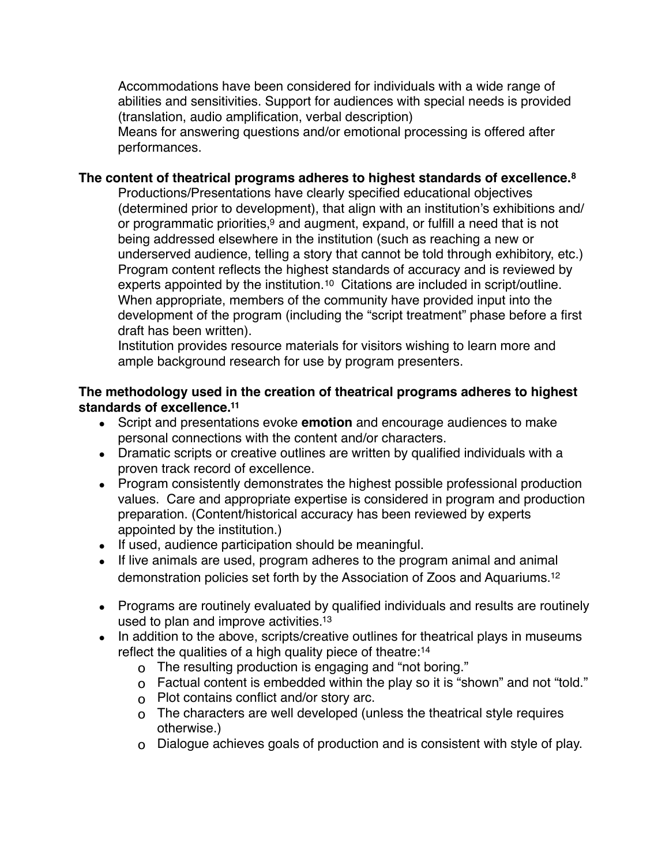• Accommodations have been considered for individuals with a wide range of abilities and sensitivities. Support for audiences with special needs is provided (translation, audio amplification, verbal description)

Means for answering questions and/or emotional processing is offered after performances.

#### **The content of theatrical programs adheres to highest standards of excellence.8**

• Productions/Presentations have clearly specified educational objectives (determined prior to development), that align with an institution's exhibitions and/ or programmatic priorities, $9$  and augment, expand, or fulfill a need that is not being addressed elsewhere in the institution (such as reaching a new or underserved audience, telling a story that cannot be told through exhibitory, etc.) • Program content reflects the highest standards of accuracy and is reviewed by experts appointed by the institution.<sup>10</sup> Citations are included in script/outline. • When appropriate, members of the community have provided input into the development of the program (including the "script treatment" phase before a first draft has been written).

• Institution provides resource materials for visitors wishing to learn more and ample background research for use by program presenters.

## **The methodology used in the creation of theatrical programs adheres to highest standards of excellence.11**

- Script and presentations evoke **emotion** and encourage audiences to make personal connections with the content and/or characters.
- Dramatic scripts or creative outlines are written by qualified individuals with a proven track record of excellence.
- Program consistently demonstrates the highest possible professional production values. Care and appropriate expertise is considered in program and production preparation. (Content/historical accuracy has been reviewed by experts appointed by the institution.)
- If used, audience participation should be meaningful.
- If live animals are used, program adheres to the program animal and animal demonstration policies set forth by the Association of Zoos and Aquariums.12
- Programs are routinely evaluated by qualified individuals and results are routinely used to plan and improve activities.13
- In addition to the above, scripts/creative outlines for theatrical plays in museums reflect the qualities of a high quality piece of theatre:14
	- o The resulting production is engaging and "not boring."
	- o Factual content is embedded within the play so it is "shown" and not "told."
	- o Plot contains conflict and/or story arc.
	- o The characters are well developed (unless the theatrical style requires otherwise.)
	- o Dialogue achieves goals of production and is consistent with style of play.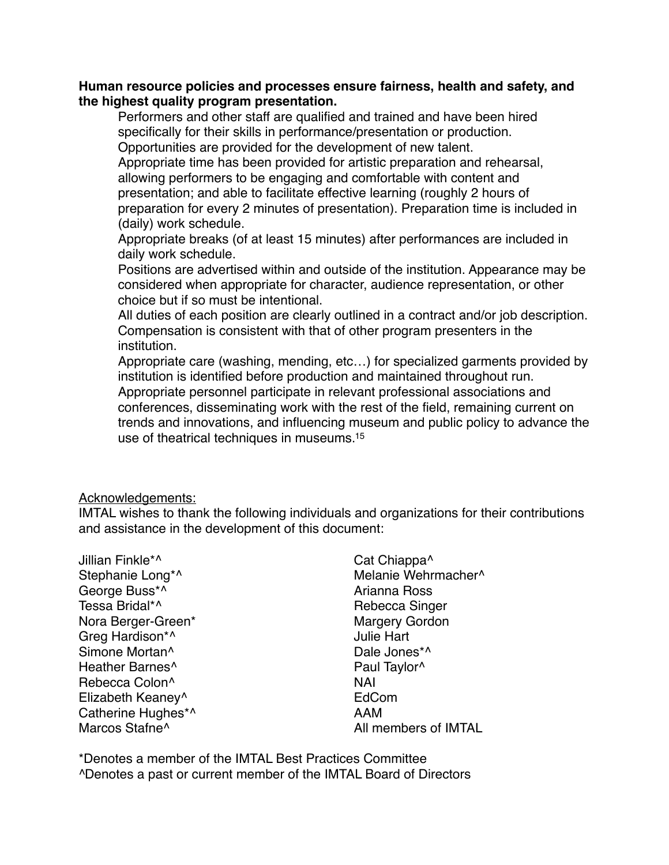#### **Human resource policies and processes ensure fairness, health and safety, and the highest quality program presentation.**

• Performers and other staff are qualified and trained and have been hired specifically for their skills in performance/presentation or production. Opportunities are provided for the development of new talent.

• Appropriate time has been provided for artistic preparation and rehearsal, allowing performers to be engaging and comfortable with content and presentation; and able to facilitate effective learning (roughly 2 hours of preparation for every 2 minutes of presentation). Preparation time is included in (daily) work schedule.

• Appropriate breaks (of at least 15 minutes) after performances are included in daily work schedule.

• Positions are advertised within and outside of the institution. Appearance may be considered when appropriate for character, audience representation, or other choice but if so must be intentional.

All duties of each position are clearly outlined in a contract and/or job description. • Compensation is consistent with that of other program presenters in the institution.

• Appropriate care (washing, mending, etc…) for specialized garments provided by institution is identified before production and maintained throughout run. • Appropriate personnel participate in relevant professional associations and conferences, disseminating work with the rest of the field, remaining current on trends and innovations, and influencing museum and public policy to advance the use of theatrical techniques in museums.15

#### Acknowledgements:

IMTAL wishes to thank the following individuals and organizations for their contributions and assistance in the development of this document:

| Cat Chiappa <sup>^</sup> |
|--------------------------|
| Melanie Wehrmacher^      |
| Arianna Ross             |
| Rebecca Singer           |
| <b>Margery Gordon</b>    |
| <b>Julie Hart</b>        |
| Dale Jones*^             |
| Paul Taylor <sup>^</sup> |
| <b>NAI</b>               |
| EdCom                    |
| AAM                      |
| All members of IMTAL     |
|                          |

\*Denotes a member of the IMTAL Best Practices Committee ^Denotes a past or current member of the IMTAL Board of Directors